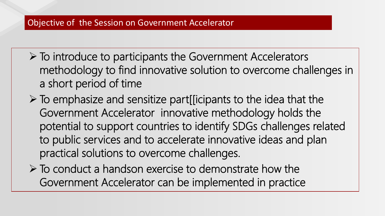#### Objective of the Session on Government Accelerator

- ➢ To introduce to participants the Government Accelerators methodology to find innovative solution to overcome challenges in a short period of time
- $\triangleright$  To emphasize and sensitize part[[icipants to the idea that the Government Accelerator innovative methodology holds the potential to support countries to identify SDGs challenges related to public services and to accelerate innovative ideas and plan practical solutions to overcome challenges.
- $\triangleright$  To conduct a handson exercise to demonstrate how the Government Accelerator can be implemented in practice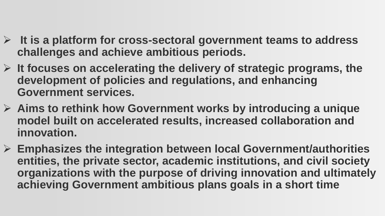- ➢ **It is a platform for cross-sectoral government teams to address challenges and achieve ambitious periods.**
- ➢ **It focuses on accelerating the delivery of strategic programs, the development of policies and regulations, and enhancing Government services.**
- ➢ **Aims to rethink how Government works by introducing a unique model built on accelerated results, increased collaboration and innovation.**
- ➢ **Emphasizes the integration between local Government/authorities entities, the private sector, academic institutions, and civil society organizations with the purpose of driving innovation and ultimately achieving Government ambitious plans goals in a short time**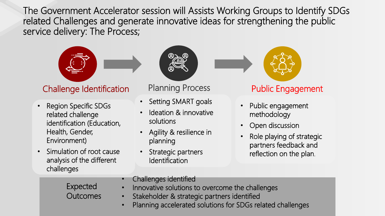The Government Accelerator session will Assists Working Groups to Identify SDGs related Challenges and generate innovative ideas for strengthening the public service delivery: The Process;



### Challenge Identification

- Region Specific SDGs related challenge identification (Education, Health, Gender, Environment)
- Simulation of root cause analysis of the different challenges



#### Planning Process

- Setting SMART goals
- Ideation & innovative solutions
- Agility & resilience in planning
- Strategic partners **Identification**



#### Public Engagement

- Public engagement methodology
- Open discussion
- Role playing of strategic partners feedback and reflection on the plan.

Expected **Outcomes** 

- Challenges identified
- Innovative solutions to overcome the challenges
- Stakeholder & strategic partners identified
- Planning accelerated solutions for SDGs related challenges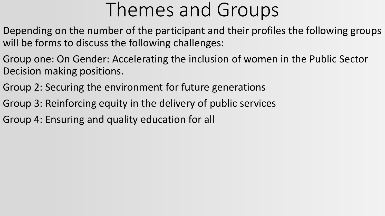# Themes and Groups

- Depending on the number of the participant and their profiles the following groups will be forms to discuss the following challenges:
- Group one: On Gender: Accelerating the inclusion of women in the Public Sector Decision making positions.
- Group 2: Securing the environment for future generations
- Group 3: Reinforcing equity in the delivery of public services
- Group 4: Ensuring and quality education for all